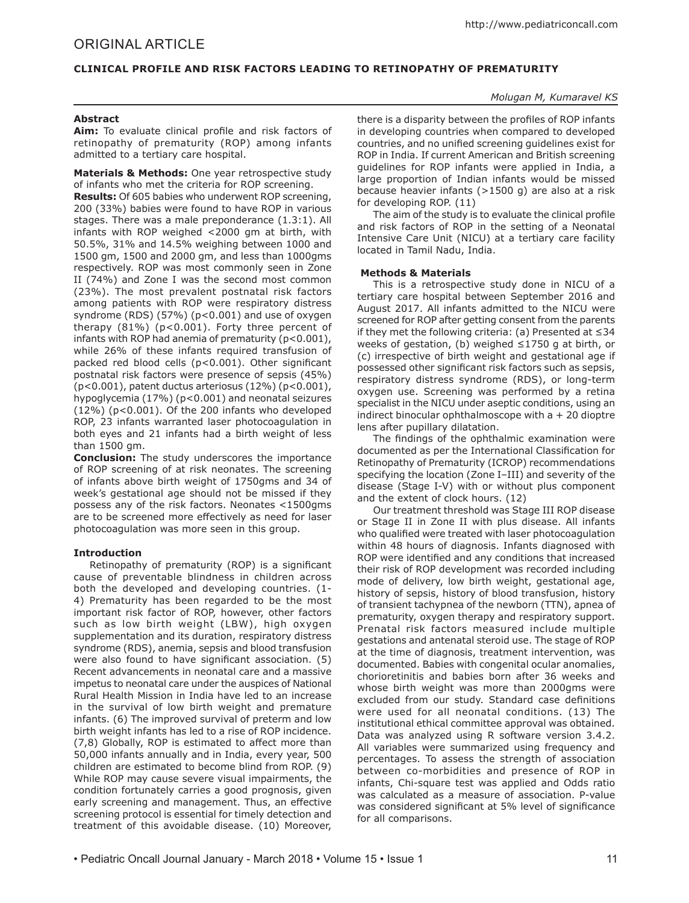# **CLINICAL PROFILE AND RISK FACTORS LEADING TO RETINOPATHY OF PREMATURITY**

# *Molugan M, Kumaravel KS*

## **Abstract**

**Aim:** To evaluate clinical profile and risk factors of retinopathy of prematurity (ROP) among infants admitted to a tertiary care hospital.

**Materials & Methods:** One year retrospective study of infants who met the criteria for ROP screening.

**Results:** Of 605 babies who underwent ROP screening, 200 (33%) babies were found to have ROP in various stages. There was a male preponderance (1.3:1). All infants with ROP weighed <2000 gm at birth, with 50.5%, 31% and 14.5% weighing between 1000 and 1500 gm, 1500 and 2000 gm, and less than 1000gms respectively. ROP was most commonly seen in Zone II (74%) and Zone I was the second most common (23%). The most prevalent postnatal risk factors among patients with ROP were respiratory distress syndrome (RDS) (57%) (p<0.001) and use of oxygen therapy (81%) (p<0.001). Forty three percent of infants with ROP had anemia of prematurity (p<0.001), while 26% of these infants required transfusion of packed red blood cells (p<0.001). Other significant postnatal risk factors were presence of sepsis (45%)  $(p<0.001)$ , patent ductus arteriosus  $(12%) (p<0.001)$ , hypoglycemia (17%) (p<0.001) and neonatal seizures (12%) (p<0.001). Of the 200 infants who developed ROP, 23 infants warranted laser photocoagulation in both eyes and 21 infants had a birth weight of less than 1500 gm.

**Conclusion:** The study underscores the importance of ROP screening of at risk neonates. The screening of infants above birth weight of 1750gms and 34 of week's gestational age should not be missed if they possess any of the risk factors. Neonates <1500gms are to be screened more effectively as need for laser photocoagulation was more seen in this group.

# **Introduction**

Retinopathy of prematurity (ROP) is a significant cause of preventable blindness in children across both the developed and developing countries. (1- 4) Prematurity has been regarded to be the most important risk factor of ROP, however, other factors such as low birth weight (LBW), high oxygen supplementation and its duration, respiratory distress syndrome (RDS), anemia, sepsis and blood transfusion were also found to have significant association. (5) Recent advancements in neonatal care and a massive impetus to neonatal care under the auspices of National Rural Health Mission in India have led to an increase in the survival of low birth weight and premature infants. (6) The improved survival of preterm and low birth weight infants has led to a rise of ROP incidence. (7,8) Globally, ROP is estimated to affect more than 50,000 infants annually and in India, every year, 500 children are estimated to become blind from ROP. (9) While ROP may cause severe visual impairments, the condition fortunately carries a good prognosis, given early screening and management. Thus, an effective screening protocol is essential for timely detection and treatment of this avoidable disease. (10) Moreover,

there is a disparity between the profiles of ROP infants in developing countries when compared to developed countries, and no unified screening guidelines exist for ROP in India. If current American and British screening guidelines for ROP infants were applied in India, a large proportion of Indian infants would be missed because heavier infants (>1500 g) are also at a risk for developing ROP. (11)

The aim of the study is to evaluate the clinical profile and risk factors of ROP in the setting of a Neonatal Intensive Care Unit (NICU) at a tertiary care facility located in Tamil Nadu, India.

### **Methods & Materials**

This is a retrospective study done in NICU of a tertiary care hospital between September 2016 and August 2017. All infants admitted to the NICU were screened for ROP after getting consent from the parents if they met the following criteria: (a) Presented at ≤34 weeks of gestation, (b) weighed ≤1750 g at birth, or (c) irrespective of birth weight and gestational age if possessed other significant risk factors such as sepsis, respiratory distress syndrome (RDS), or long-term oxygen use. Screening was performed by a retina specialist in the NICU under aseptic conditions, using an indirect binocular ophthalmoscope with  $a + 20$  dioptre lens after pupillary dilatation.

The findings of the ophthalmic examination were documented as per the International Classification for Retinopathy of Prematurity (ICROP) recommendations specifying the location (Zone I–III) and severity of the disease (Stage I-V) with or without plus component and the extent of clock hours. (12)

Our treatment threshold was Stage III ROP disease or Stage II in Zone II with plus disease. All infants who qualified were treated with laser photocoagulation within 48 hours of diagnosis. Infants diagnosed with ROP were identified and any conditions that increased their risk of ROP development was recorded including mode of delivery, low birth weight, gestational age, history of sepsis, history of blood transfusion, history of transient tachypnea of the newborn (TTN), apnea of prematurity, oxygen therapy and respiratory support. Prenatal risk factors measured include multiple gestations and antenatal steroid use. The stage of ROP at the time of diagnosis, treatment intervention, was documented. Babies with congenital ocular anomalies, chorioretinitis and babies born after 36 weeks and whose birth weight was more than 2000gms were excluded from our study. Standard case definitions were used for all neonatal conditions. (13) The institutional ethical committee approval was obtained. Data was analyzed using R software version 3.4.2. All variables were summarized using frequency and percentages. To assess the strength of association between co-morbidities and presence of ROP in infants, Chi-square test was applied and Odds ratio was calculated as a measure of association. P-value was considered significant at 5% level of significance for all comparisons.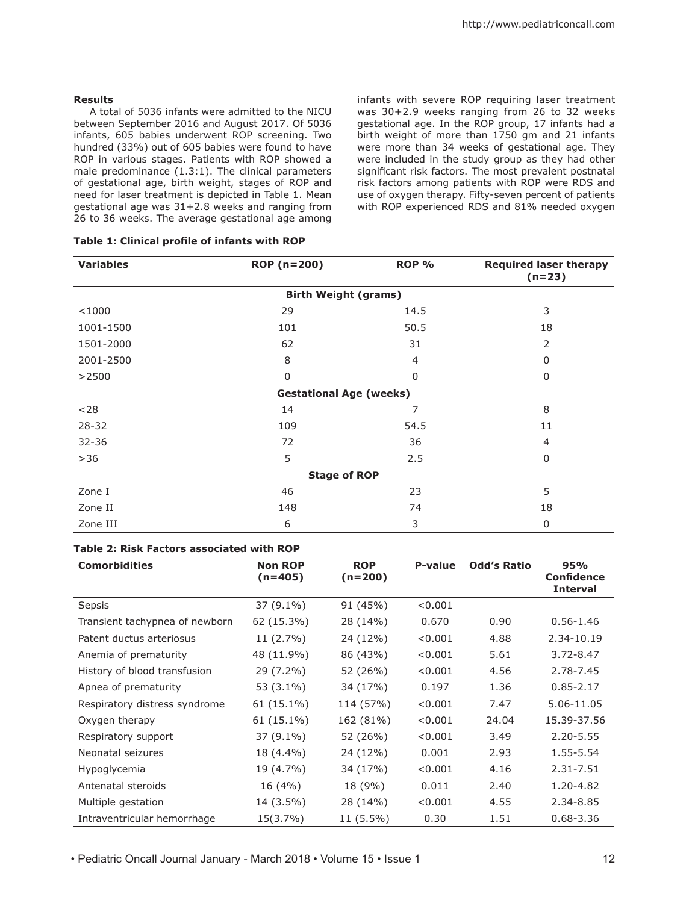### **Results**

A total of 5036 infants were admitted to the NICU between September 2016 and August 2017. Of 5036 infants, 605 babies underwent ROP screening. Two hundred (33%) out of 605 babies were found to have ROP in various stages. Patients with ROP showed a male predominance (1.3:1). The clinical parameters of gestational age, birth weight, stages of ROP and need for laser treatment is depicted in Table 1. Mean gestational age was 31+2.8 weeks and ranging from 26 to 36 weeks. The average gestational age among infants with severe ROP requiring laser treatment was 30+2.9 weeks ranging from 26 to 32 weeks gestational age. In the ROP group, 17 infants had a birth weight of more than 1750 gm and 21 infants were more than 34 weeks of gestational age. They were included in the study group as they had other significant risk factors. The most prevalent postnatal risk factors among patients with ROP were RDS and use of oxygen therapy. Fifty-seven percent of patients with ROP experienced RDS and 81% needed oxygen

| <b>Variables</b>               | ROP (n=200)    | ROP %    | <b>Required laser therapy</b><br>$(n=23)$ |  |  |  |  |
|--------------------------------|----------------|----------|-------------------------------------------|--|--|--|--|
| <b>Birth Weight (grams)</b>    |                |          |                                           |  |  |  |  |
| < 1000                         | 29             | 14.5     | 3                                         |  |  |  |  |
| 1001-1500                      | 101            | 50.5     | 18                                        |  |  |  |  |
| 1501-2000                      | 62             | 31       | 2                                         |  |  |  |  |
| 2001-2500                      | 8              | 4        | 0                                         |  |  |  |  |
| >2500                          | $\overline{0}$ | $\Omega$ | 0                                         |  |  |  |  |
| <b>Gestational Age (weeks)</b> |                |          |                                           |  |  |  |  |
| $28$                           | 14             | 7        | 8                                         |  |  |  |  |
| $28 - 32$                      | 109            | 54.5     | 11                                        |  |  |  |  |
| 32-36                          | 72             | 36       | $\overline{4}$                            |  |  |  |  |
| >36                            | 5              | 2.5      | 0                                         |  |  |  |  |
| <b>Stage of ROP</b>            |                |          |                                           |  |  |  |  |
| Zone I                         | 46             | 23       | 5                                         |  |  |  |  |
| Zone II                        | 148            | 74       | 18                                        |  |  |  |  |
| Zone III                       | 6              | 3        | 0                                         |  |  |  |  |

# **Table 1: Clinical profile of infants with ROP**

# **Table 2: Risk Factors associated with ROP**

| <b>Comorbidities</b>           | <b>Non ROP</b><br>$(n=405)$ | <b>ROP</b><br>$(n=200)$ | P-value | <b>Odd's Ratio</b> | 95%<br><b>Confidence</b><br><b>Interval</b> |
|--------------------------------|-----------------------------|-------------------------|---------|--------------------|---------------------------------------------|
| Sepsis                         | 37 (9.1%)                   | 91 (45%)                | < 0.001 |                    |                                             |
| Transient tachypnea of newborn | 62 (15.3%)                  | 28 (14%)                | 0.670   | 0.90               | $0.56 - 1.46$                               |
| Patent ductus arteriosus       | 11 (2.7%)                   | 24 (12%)                | < 0.001 | 4.88               | 2.34-10.19                                  |
| Anemia of prematurity          | 48 (11.9%)                  | 86 (43%)                | < 0.001 | 5.61               | 3.72-8.47                                   |
| History of blood transfusion   | 29 (7.2%)                   | 52 (26%)                | < 0.001 | 4.56               | 2.78-7.45                                   |
| Apnea of prematurity           | 53 (3.1%)                   | 34 (17%)                | 0.197   | 1.36               | $0.85 - 2.17$                               |
| Respiratory distress syndrome  | 61 (15.1%)                  | 114 (57%)               | < 0.001 | 7.47               | 5.06-11.05                                  |
| Oxygen therapy                 | 61 (15.1%)                  | 162 (81%)               | < 0.001 | 24.04              | 15.39-37.56                                 |
| Respiratory support            | 37 (9.1%)                   | 52 (26%)                | < 0.001 | 3.49               | 2.20-5.55                                   |
| Neonatal seizures              | 18 (4.4%)                   | 24 (12%)                | 0.001   | 2.93               | 1.55-5.54                                   |
| Hypoglycemia                   | 19 (4.7%)                   | 34 (17%)                | < 0.001 | 4.16               | 2.31-7.51                                   |
| Antenatal steroids             | 16 (4%)                     | 18 (9%)                 | 0.011   | 2.40               | 1.20-4.82                                   |
| Multiple gestation             | 14 (3.5%)                   | 28 (14%)                | < 0.001 | 4.55               | 2.34-8.85                                   |
| Intraventricular hemorrhage    | 15(3.7%)                    | 11 (5.5%)               | 0.30    | 1.51               | $0.68 - 3.36$                               |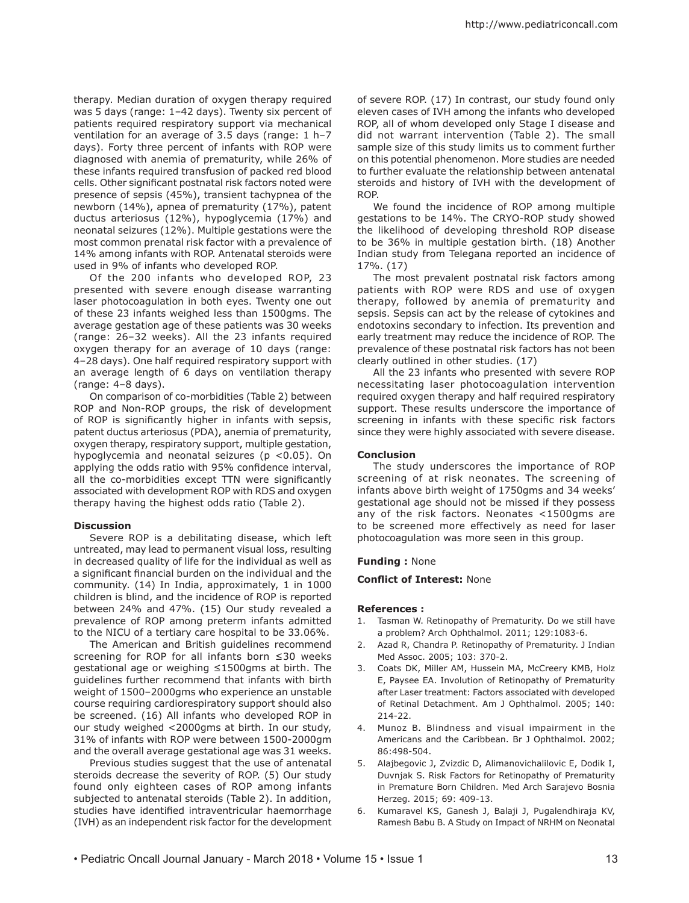therapy. Median duration of oxygen therapy required was 5 days (range: 1–42 days). Twenty six percent of patients required respiratory support via mechanical ventilation for an average of 3.5 days (range: 1 h–7 days). Forty three percent of infants with ROP were diagnosed with anemia of prematurity, while 26% of these infants required transfusion of packed red blood cells. Other significant postnatal risk factors noted were presence of sepsis (45%), transient tachypnea of the newborn (14%), apnea of prematurity (17%), patent ductus arteriosus (12%), hypoglycemia (17%) and neonatal seizures (12%). Multiple gestations were the most common prenatal risk factor with a prevalence of 14% among infants with ROP. Antenatal steroids were used in 9% of infants who developed ROP.

Of the 200 infants who developed ROP, 23 presented with severe enough disease warranting laser photocoagulation in both eyes. Twenty one out of these 23 infants weighed less than 1500gms. The average gestation age of these patients was 30 weeks (range: 26–32 weeks). All the 23 infants required oxygen therapy for an average of 10 days (range: 4–28 days). One half required respiratory support with an average length of 6 days on ventilation therapy (range: 4–8 days).

On comparison of co-morbidities (Table 2) between ROP and Non-ROP groups, the risk of development of ROP is significantly higher in infants with sepsis, patent ductus arteriosus (PDA), anemia of prematurity, oxygen therapy, respiratory support, multiple gestation, hypoglycemia and neonatal seizures (p <0.05). On applying the odds ratio with 95% confidence interval, all the co-morbidities except TTN were significantly associated with development ROP with RDS and oxygen therapy having the highest odds ratio (Table 2).

#### **Discussion**

Severe ROP is a debilitating disease, which left untreated, may lead to permanent visual loss, resulting in decreased quality of life for the individual as well as a significant financial burden on the individual and the community. (14) In India, approximately, 1 in 1000 children is blind, and the incidence of ROP is reported between 24% and 47%. (15) Our study revealed a prevalence of ROP among preterm infants admitted to the NICU of a tertiary care hospital to be 33.06%.

The American and British guidelines recommend screening for ROP for all infants born ≤30 weeks gestational age or weighing ≤1500gms at birth. The guidelines further recommend that infants with birth weight of 1500–2000gms who experience an unstable course requiring cardiorespiratory support should also be screened. (16) All infants who developed ROP in our study weighed <2000gms at birth. In our study, 31% of infants with ROP were between 1500-2000gm and the overall average gestational age was 31 weeks.

Previous studies suggest that the use of antenatal steroids decrease the severity of ROP. (5) Our study found only eighteen cases of ROP among infants subjected to antenatal steroids (Table 2). In addition, studies have identified intraventricular haemorrhage (IVH) as an independent risk factor for the development of severe ROP. (17) In contrast, our study found only eleven cases of IVH among the infants who developed ROP, all of whom developed only Stage I disease and did not warrant intervention (Table 2). The small sample size of this study limits us to comment further on this potential phenomenon. More studies are needed to further evaluate the relationship between antenatal steroids and history of IVH with the development of ROP.

We found the incidence of ROP among multiple gestations to be 14%. The CRYO-ROP study showed the likelihood of developing threshold ROP disease to be 36% in multiple gestation birth. (18) Another Indian study from Telegana reported an incidence of 17%. (17)

The most prevalent postnatal risk factors among patients with ROP were RDS and use of oxygen therapy, followed by anemia of prematurity and sepsis. Sepsis can act by the release of cytokines and endotoxins secondary to infection. Its prevention and early treatment may reduce the incidence of ROP. The prevalence of these postnatal risk factors has not been clearly outlined in other studies. (17)

All the 23 infants who presented with severe ROP necessitating laser photocoagulation intervention required oxygen therapy and half required respiratory support. These results underscore the importance of screening in infants with these specific risk factors since they were highly associated with severe disease.

#### **Conclusion**

The study underscores the importance of ROP screening of at risk neonates. The screening of infants above birth weight of 1750gms and 34 weeks' gestational age should not be missed if they possess any of the risk factors. Neonates <1500gms are to be screened more effectively as need for laser photocoagulation was more seen in this group.

#### **Funding :** None

#### **Conflict of Interest:** None

#### **References :**

- 1. Tasman W. Retinopathy of Prematurity. Do we still have a problem? Arch Ophthalmol. 2011; 129:1083-6.
- 2. Azad R, Chandra P. Retinopathy of Prematurity. J Indian Med Assoc. 2005; 103: 370-2.
- 3. Coats DK, Miller AM, Hussein MA, McCreery KMB, Holz E, Paysee EA. Involution of Retinopathy of Prematurity after Laser treatment: Factors associated with developed of Retinal Detachment. Am J Ophthalmol. 2005; 140: 214-22.
- 4. Munoz B. Blindness and visual impairment in the Americans and the Caribbean. Br J Ophthalmol. 2002; 86:498-504.
- 5. Alajbegovic J, Zvizdic D, Alimanovichalilovic E, Dodik I, Duvnjak S. Risk Factors for Retinopathy of Prematurity in Premature Born Children. Med Arch Sarajevo Bosnia Herzeg. 2015; 69: 409-13.
- 6. Kumaravel KS, Ganesh J, Balaji J, Pugalendhiraja KV, Ramesh Babu B. A Study on Impact of NRHM on Neonatal